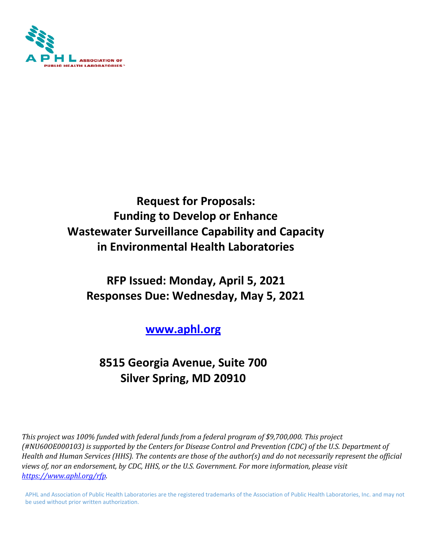

## **Request for Proposals: Funding to Develop or Enhance Wastewater Surveillance Capability and Capacity in Environmental Health Laboratories**

# **RFP Issued: Monday, April 5, 2021 Responses Due: Wednesday, May 5, 2021**

## **[www.aphl.org](http://www.aphl.org/)**

# **8515 Georgia Avenue, Suite 700 Silver Spring, MD 20910**

*This project was 100% funded with federal funds from a federal program of \$9,700,000. This project (#NU60OE000103) is supported by the Centers for Disease Control and Prevention (CDC) of the U.S. Department of Health and Human Services (HHS). The contents are those of the author(s) and do not necessarily represent the official views of, nor an endorsement, by CDC, HHS, or the U.S. Government. For more information, please visit [https://www.aphl.org/rfp.](https://www.aphl.org/rfp)* 

APHL and Association of Public Health Laboratories are the registered trademarks of the Association of Public Health Laboratories, Inc. and may not be used without prior written authorization.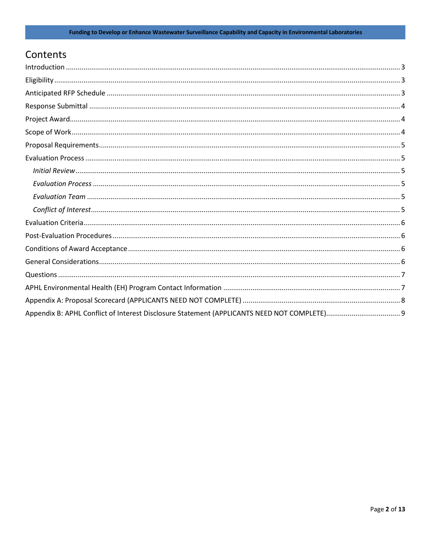## Contents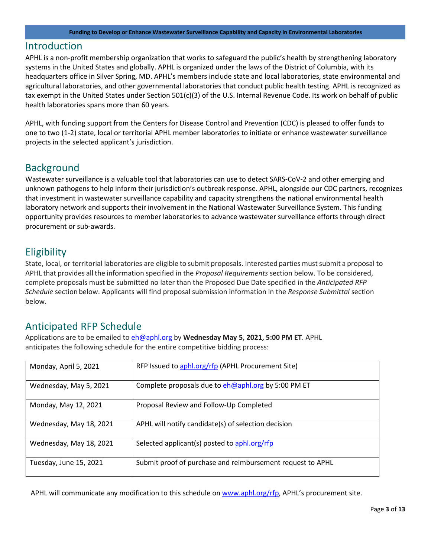#### <span id="page-2-0"></span>Introduction

APHL is a non-profit membership organization that works to safeguard the public's health by strengthening laboratory systems in the United States and globally. APHL is organized under the laws of the District of Columbia, with its headquarters office in Silver Spring, MD. APHL's members include state and local laboratories, state environmental and agricultural laboratories, and other governmental laboratories that conduct public health testing. APHL is recognized as tax exempt in the United States under Section 501(c)(3) of the U.S. Internal Revenue Code. Its work on behalf of public health laboratories spans more than 60 years.

APHL, with funding support from the Centers for Disease Control and Prevention (CDC) is pleased to offer funds to one to two (1-2) state, local or territorial APHL member laboratories to initiate or enhance wastewater surveillance projects in the selected applicant's jurisdiction.

### **Background**

Wastewater surveillance is a valuable tool that laboratories can use to detect SARS-CoV-2 and other emerging and unknown pathogens to help inform their jurisdiction's outbreak response. APHL, alongside our CDC partners, recognizes that investment in wastewater surveillance capability and capacity strengthens the national environmental health laboratory network and supports their involvement in the National Wastewater Surveillance System. This funding opportunity provides resources to member laboratories to advance wastewater surveillance efforts through direct procurement or sub-awards.

### <span id="page-2-1"></span>Eligibility

State, local, or territorial laboratories are eligible to submit proposals. Interested parties must submit a proposal to APHL that provides all the information specified in the *Proposal Requirements* section below. To be considered, complete proposals must be submitted no later than the Proposed Due Date specified in the *Anticipated RFP Schedule* section below. Applicants will find proposal submission information in the *Response Submittal* section below.

### <span id="page-2-2"></span>Anticipated RFP Schedule

Applications are to be emailed t[o eh@aphl.org](mailto:eh@aphl.org) by **Wednesday May 5, 2021, 5:00 PM ET**. APHL anticipates the following schedule for the entire competitive bidding process:

| Monday, April 5, 2021   | RFP Issued to aphl.org/rfp (APHL Procurement Site)         |
|-------------------------|------------------------------------------------------------|
| Wednesday, May 5, 2021  | Complete proposals due to eh@aphl.org by 5:00 PM ET        |
| Monday, May 12, 2021    | Proposal Review and Follow-Up Completed                    |
| Wednesday, May 18, 2021 | APHL will notify candidate(s) of selection decision        |
| Wednesday, May 18, 2021 | Selected applicant(s) posted to aphl.org/rfp               |
| Tuesday, June 15, 2021  | Submit proof of purchase and reimbursement request to APHL |

APHL will communicate any modification to this schedule o[n www.aphl.org/rfp,](http://www.aphl.org/rfp) APHL's procurement site.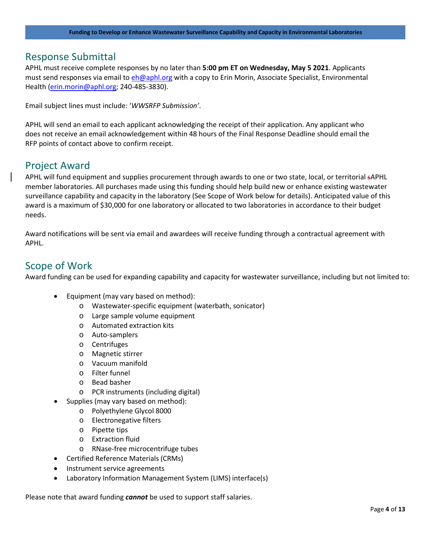#### <span id="page-3-0"></span>Response Submittal

APHL must receive complete responses by no later than **5:00 pm ET on Wednesday, May 5 2021**. Applicants must send responses via email t[o eh@aphl.org](mailto:eh@aphl.org) with a copy to Erin Morin, Associate Specialist, Environmental Health [\(erin.morin@aphl.org;](mailto:erin.morin@aphl.org) 240-485-3830).

Email subject lines must include: '*WWSRFP Submission'*.

APHL will send an email to each applicant acknowledging the receipt of their application. Any applicant who does not receive an email acknowledgement within 48 hours of the Final Response Deadline should email the RFP points of contact above to confirm receipt.

#### <span id="page-3-1"></span>Project Award

APHL will fund equipment and supplies procurement through awards to one or two state, local, or territorial sAPHL member laboratories. All purchases made using this funding should help build new or enhance existing wastewater surveillance capability and capacity in the laboratory (See Scope of Work below for details). Anticipated value of this award is a maximum of \$30,000 for one laboratory or allocated to two laboratories in accordance to their budget needs.

Award notifications will be sent via email and awardees will receive funding through a contractual agreement with APHL.

#### <span id="page-3-2"></span>Scope of Work

Award funding can be used for expanding capability and capacity for wastewater surveillance, including but not limited to:

- Equipment (may vary based on method):
	- o Wastewater-specific equipment (waterbath, sonicator)
	- o Large sample volume equipment
	- o Automated extraction kits
	- o Auto-samplers
	- o Centrifuges
	- o Magnetic stirrer
	- o Vacuum manifold
	- o Filter funnel
	- o Bead basher
	- o PCR instruments (including digital)
- Supplies (may vary based on method):
	- o Polyethylene Glycol 8000
	- o Electronegative filters
	- o Pipette tips
	- o Extraction fluid
	- o RNase-free microcentrifuge tubes
- Certified Reference Materials (CRMs)
- Instrument service agreements
- Laboratory Information Management System (LIMS) interface(s)

Please note that award funding *cannot* be used to support staff salaries.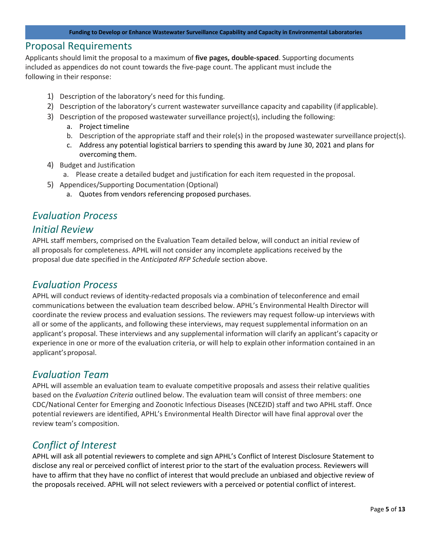#### <span id="page-4-0"></span>Proposal Requirements

Applicants should limit the proposal to a maximum of **five pages, double-spaced**. Supporting documents included as appendices do not count towards the five-page count. The applicant must include the following in their response:

- 1) Description of the laboratory's need for this funding.
- 2) Description of the laboratory's current wastewater surveillance capacity and capability (if applicable).
- 3) Description of the proposed wastewater surveillance project(s), including the following:
	- a. Project timeline
	- b. Description of the appropriate staff and their role(s) in the proposed wastewater surveillance project(s).
	- c. Address any potential logistical barriers to spending this award by June 30, 2021 and plans for overcoming them.
- 4) Budget and Justification
	- a. Please create a detailed budget and justification for each item requested in the proposal.
- 5) Appendices/Supporting Documentation (Optional)
	- a. Quotes from vendors referencing proposed purchases.

## <span id="page-4-1"></span>*Evaluation Process*

### <span id="page-4-2"></span>*Initial Review*

APHL staff members, comprised on the Evaluation Team detailed below, will conduct an initial review of all proposals for completeness. APHL will not consider any incomplete applications received by the proposal due date specified in the *Anticipated RFP Schedule* section above.

### <span id="page-4-3"></span>*Evaluation Process*

APHL will conduct reviews of identity-redacted proposals via a combination of teleconference and email communications between the evaluation team described below. APHL's Environmental Health Director will coordinate the review process and evaluation sessions. The reviewers may request follow-up interviews with all or some of the applicants, and following these interviews, may request supplemental information on an applicant's proposal. These interviews and any supplemental information will clarify an applicant's capacity or experience in one or more of the evaluation criteria, or will help to explain other information contained in an applicant'sproposal.

### <span id="page-4-4"></span>*Evaluation Team*

APHL will assemble an evaluation team to evaluate competitive proposals and assess their relative qualities based on the *Evaluation Criteria* outlined below. The evaluation team will consist of three members: one CDC/National Center for Emerging and Zoonotic Infectious Diseases (NCEZID) staff and two APHL staff. Once potential reviewers are identified, APHL's Environmental Health Director will have final approval over the review team's composition.

## <span id="page-4-5"></span>*Conflict of Interest*

APHL will ask all potential reviewers to complete and sign APHL's Conflict of Interest Disclosure Statement to disclose any real or perceived conflict of interest prior to the start of the evaluation process. Reviewers will have to affirm that they have no conflict of interest that would preclude an unbiased and objective review of the proposals received. APHL will not select reviewers with a perceived or potential conflict of interest.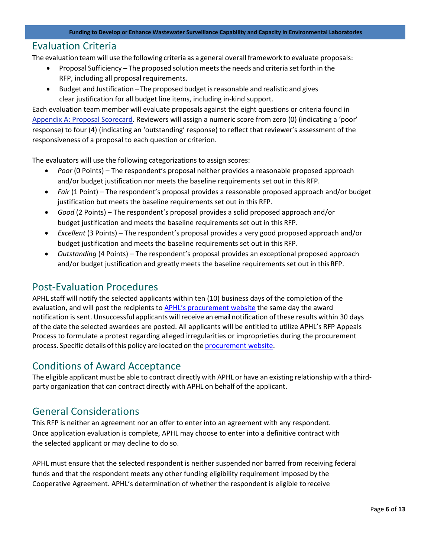#### <span id="page-5-0"></span>Evaluation Criteria

The evaluation team will use the following criteria as a general overallframework to evaluate proposals:

- Proposal Sufficiency The proposed solution meets the needs and criteria set forth in the RFP, including all proposal requirements.
- Budget and Justification *–* The proposed budget isreasonable and realistic and gives clear justification for all budget line items, including in-kind support.

Each evaluation team member will evaluate proposals against the eight questions or criteria found in [Appendix A: Proposal Scorecard. R](#page-7-0)eviewers will assign a numeric score from zero (0) (indicating a 'poor' response) to four (4) (indicating an 'outstanding' response) to reflect that reviewer's assessment of the responsiveness of a proposal to each question or criterion.

The evaluators will use the following categorizations to assign scores:

- *Poor* (0 Points) The respondent's proposal neither provides a reasonable proposed approach and/or budget justification nor meets the baseline requirements set out in this RFP.
- *Fair* (1 Point) The respondent's proposal provides a reasonable proposed approach and/or budget justification but meets the baseline requirements set out in this RFP.
- *Good* (2 Points) The respondent's proposal provides a solid proposed approach and/or budget justification and meets the baseline requirements set out in this RFP.
- *Excellent* (3 Points) The respondent's proposal provides a very good proposed approach and/or budget justification and meets the baseline requirements set out in this RFP.
- *Outstanding* (4 Points) The respondent's proposal provides an exceptional proposed approach and/or budget justification and greatly meets the baseline requirements set out in this RFP.

#### <span id="page-5-1"></span>Post-Evaluation Procedures

APHL staff will notify the selected applicants within ten (10) business days of the completion of the evaluation, and will post the recipients t[o APHL's procurement website](https://www.aphl.org/rfp/Pages/default.aspx) the same day the award notification is sent. Unsuccessful applicants will receive an email notification ofthese results within 30 days of the date the selected awardees are posted. All applicants will be entitled to utilize APHL's RFP Appeals Process to formulate a protest regarding alleged irregularities or improprieties during the procurement process. Specific details of this policy are located on the [procurement website.](https://www.aphl.org/rfp/Pages/default.aspx)

#### <span id="page-5-2"></span>Conditions of Award Acceptance

The eligible applicant must be able to contract directly with APHL or have an existing relationship with a thirdparty organization that can contract directly with APHL on behalf of the applicant.

#### <span id="page-5-3"></span>General Considerations

This RFP is neither an agreement nor an offer to enter into an agreement with any respondent. Once application evaluation is complete, APHL may choose to enter into a definitive contract with the selected applicant or may decline to do so.

APHL must ensure that the selected respondent is neither suspended nor barred from receiving federal funds and that the respondent meets any other funding eligibility requirement imposed by the Cooperative Agreement. APHL's determination of whether the respondent is eligible toreceive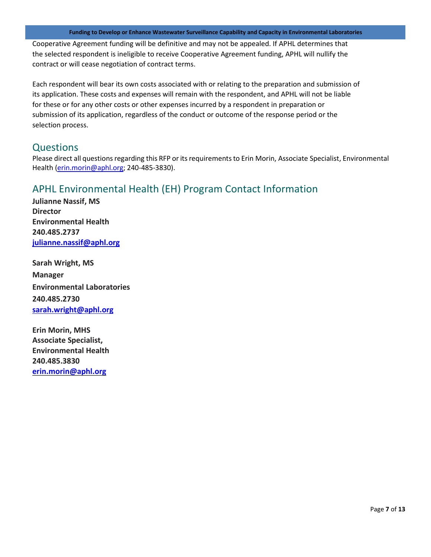**Funding to Develop or Enhance Wastewater Surveillance Capability and Capacity in Environmental Laboratories**

Cooperative Agreement funding will be definitive and may not be appealed. If APHL determines that the selected respondent is ineligible to receive Cooperative Agreement funding, APHL will nullify the contract or will cease negotiation of contract terms.

Each respondent will bear its own costs associated with or relating to the preparation and submission of its application. These costs and expenses will remain with the respondent, and APHL will not be liable for these or for any other costs or other expenses incurred by a respondent in preparation or submission of its application, regardless of the conduct or outcome of the response period or the selection process.

### <span id="page-6-0"></span>**Questions**

Please direct all questions regarding this RFP or its requirements to Erin Morin, Associate Specialist, Environmental Health [\(erin.morin@aphl.org;](mailto:erin.morin@aphl.org) 240-485-3830).

## <span id="page-6-1"></span>APHL Environmental Health (EH) Program Contact Information

**Julianne Nassif, MS Director Environmental Health 240.485.2737 [julianne.nassif@aphl.org](mailto:julianne.nassif@aphl.org)**

**Sarah Wright, MS Manager Environmental Laboratories 240.485.2730 [sarah.wright@aphl.org](mailto:sarah.wright@aphl.org)**

**Erin Morin, MHS Associate Specialist, Environmental Health 240.485.3830 [erin.morin@aphl.org](mailto:erin.morin@aphl.org)**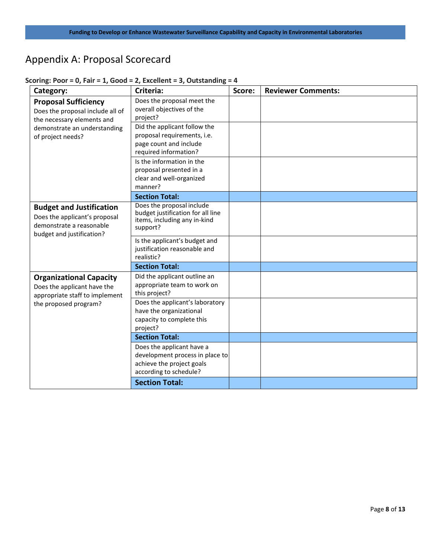## <span id="page-7-0"></span>Appendix A: Proposal Scorecard

| Category:                                                                                                                                          | Criteria:                                                                                                           | Score: | <b>Reviewer Comments:</b> |
|----------------------------------------------------------------------------------------------------------------------------------------------------|---------------------------------------------------------------------------------------------------------------------|--------|---------------------------|
| <b>Proposal Sufficiency</b><br>Does the proposal include all of<br>the necessary elements and<br>demonstrate an understanding<br>of project needs? | Does the proposal meet the<br>overall objectives of the<br>project?                                                 |        |                           |
|                                                                                                                                                    | Did the applicant follow the<br>proposal requirements, i.e.<br>page count and include<br>required information?      |        |                           |
|                                                                                                                                                    | Is the information in the<br>proposal presented in a<br>clear and well-organized<br>manner?                         |        |                           |
|                                                                                                                                                    | <b>Section Total:</b>                                                                                               |        |                           |
| <b>Budget and Justification</b><br>Does the applicant's proposal<br>demonstrate a reasonable<br>budget and justification?                          | Does the proposal include<br>budget justification for all line<br>items, including any in-kind<br>support?          |        |                           |
|                                                                                                                                                    | Is the applicant's budget and<br>justification reasonable and<br>realistic?                                         |        |                           |
|                                                                                                                                                    | <b>Section Total:</b>                                                                                               |        |                           |
| <b>Organizational Capacity</b><br>Does the applicant have the<br>appropriate staff to implement<br>the proposed program?                           | Did the applicant outline an<br>appropriate team to work on<br>this project?                                        |        |                           |
|                                                                                                                                                    | Does the applicant's laboratory<br>have the organizational<br>capacity to complete this<br>project?                 |        |                           |
|                                                                                                                                                    | <b>Section Total:</b>                                                                                               |        |                           |
|                                                                                                                                                    | Does the applicant have a<br>development process in place to<br>achieve the project goals<br>according to schedule? |        |                           |
|                                                                                                                                                    | <b>Section Total:</b>                                                                                               |        |                           |

#### **Scoring: Poor = 0, Fair = 1, Good = 2, Excellent = 3, Outstanding = 4**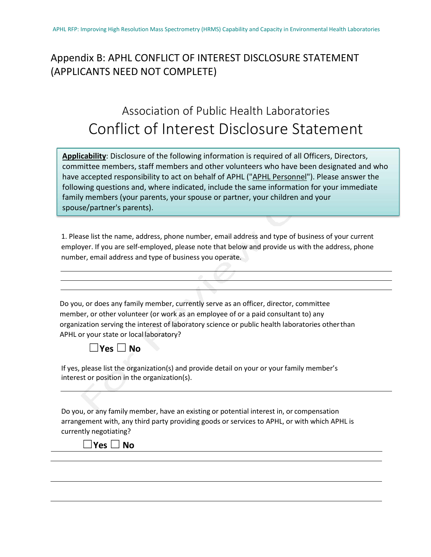## <span id="page-8-0"></span>Appendix B: APHL CONFLICT OF INTEREST DISCLOSURE STATEMENT (APPLICANTS NEED NOT COMPLETE)

# Association of Public Health Laboratories Conflict of Interest Disclosure Statement

**Applicability**: Disclosure of the following information is required of all Officers, Directors, committee members, staff members and other volunteers who have been designated and who have accepted responsibility to act on behalf of APHL ("APHL Personnel"). Please answer the following questions and, where indicated, include the same information for your immediate family members (your parents, your spouse or partner, your children and your spouse/partner's parents).

1. Please list the name, address, phone number, email address and type of business of your current employer. If you are self-employed, please note that below and provide us with the address, phone number, email address and type of business you operate.

Do you, or does any family member, currently serve as an officer, director, committee member, or other volunteer (or work as an employee of or a paid consultant to) any organization serving the interest of laboratory science or public health laboratories otherthan APHL or your state or local laboratory?

| Yes |  | Nο |
|-----|--|----|
|-----|--|----|

If yes, please list the organization(s) and provide detail on your or your family member's interest or position in the organization(s).

Do you, or any family member, have an existing or potential interest in, or compensation arrangement with, any third party providing goods or services to APHL, or with which APHL is currently negotiating?

☐**Yes** ☐**No**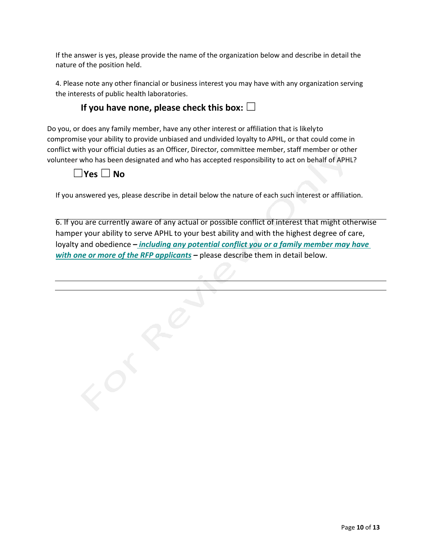If the answer is yes, please provide the name of the organization below and describe in detail the nature of the position held.

4. Please note any other financial or business interest you may have with any organization serving the interests of public health laboratories.

### **If you have none, please check this box:** □

Do you, or does any family member, have any other interest or affiliation that is likelyto compromise your ability to provide unbiased and undivided loyalty to APHL, or that could come in conflict with your official duties as an Officer, Director, committee member, staff member or other volunteer who has been designated and who has accepted responsibility to act on behalf of APHL?

## ☐**Yes** ☐**No**

If you answered yes, please describe in detail below the nature of each such interest or affiliation.

6. If you are currently aware of any actual or possible conflict of interest that might otherwise hamper your ability to serve APHL to your best ability and with the highest degree of care, loyalty and obedience *– including any potential conflict you or a family member may have with one or more of the RFP applicants –* please describe them in detail below.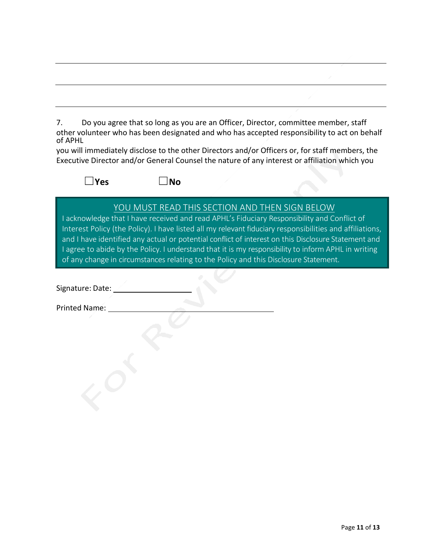7. Do you agree that so long as you are an Officer, Director, committee member, staff other volunteer who has been designated and who has accepted responsibility to act on behalf of APHL

you will immediately disclose to the other Directors and/or Officers or, for staff members, the Executive Director and/or General Counsel the nature of any interest or affiliation which you

☐**Yes** ☐**No**

YOU MUST READ THIS SECTION AND THEN SIGN BELOW

I acknowledge that I have received and read APHL's Fiduciary Responsibility and Conflict of Interest Policy (the Policy). I have listed all my relevant fiduciary responsibilities and affiliations, and I have identified any actual or potential conflict of interest on this Disclosure Statement and I agree to abide by the Policy. I understand that it is my responsibility to inform APHL in writing of any change in circumstances relating to the Policy and this Disclosure Statement.

Signature: Date: 20

Printed Name: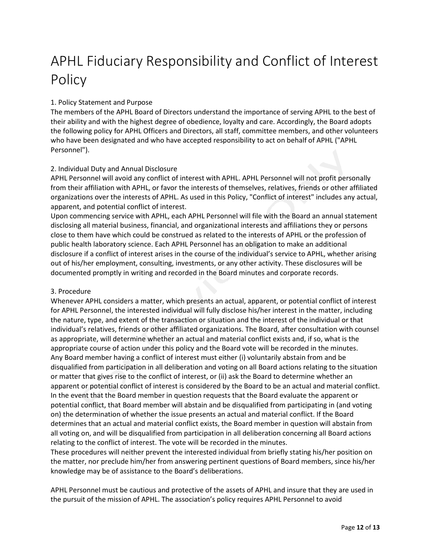# APHL Fiduciary Responsibility and Conflict of Interest Policy

#### 1. Policy Statement and Purpose

The members of the APHL Board of Directors understand the importance of serving APHL to the best of their ability and with the highest degree of obedience, loyalty and care. Accordingly, the Board adopts the following policy for APHL Officers and Directors, all staff, committee members, and other volunteers who have been designated and who have accepted responsibility to act on behalf of APHL ("APHL Personnel").

#### 2. Individual Duty and Annual Disclosure

APHL Personnel will avoid any conflict of interest with APHL. APHL Personnel will not profit personally from their affiliation with APHL, or favor the interests of themselves, relatives, friends or other affiliated organizations over the interests of APHL. As used in this Policy, "Conflict of interest" includes any actual, apparent, and potential conflict of interest.

Upon commencing service with APHL, each APHL Personnel will file with the Board an annual statement disclosing all material business, financial, and organizational interests and affiliations they or persons close to them have which could be construed as related to the interests of APHL or the profession of public health laboratory science. Each APHL Personnel has an obligation to make an additional disclosure if a conflict of interest arises in the course of the individual's service to APHL, whether arising out of his/her employment, consulting, investments, or any other activity. These disclosures will be documented promptly in writing and recorded in the Board minutes and corporate records.

#### 3. Procedure

Whenever APHL considers a matter, which presents an actual, apparent, or potential conflict of interest for APHL Personnel, the interested individual will fully disclose his/her interest in the matter, including the nature, type, and extent of the transaction or situation and the interest of the individual or that individual's relatives, friends or other affiliated organizations. The Board, after consultation with counsel as appropriate, will determine whether an actual and material conflict exists and, if so, what is the appropriate course of action under this policy and the Board vote will be recorded in the minutes. Any Board member having a conflict of interest must either (i) voluntarily abstain from and be disqualified from participation in all deliberation and voting on all Board actions relating to the situation or matter that gives rise to the conflict of interest, or (ii) ask the Board to determine whether an apparent or potential conflict of interest is considered by the Board to be an actual and material conflict. In the event that the Board member in question requests that the Board evaluate the apparent or potential conflict, that Board member will abstain and be disqualified from participating in (and voting on) the determination of whether the issue presents an actual and material conflict. If the Board determines that an actual and material conflict exists, the Board member in question will abstain from all voting on, and will be disqualified from participation in all deliberation concerning all Board actions relating to the conflict of interest. The vote will be recorded in the minutes.

These procedures will neither prevent the interested individual from briefly stating his/her position on the matter, nor preclude him/her from answering pertinent questions of Board members, since his/her knowledge may be of assistance to the Board's deliberations.

APHL Personnel must be cautious and protective of the assets of APHL and insure that they are used in the pursuit of the mission of APHL. The association's policy requires APHL Personnel to avoid